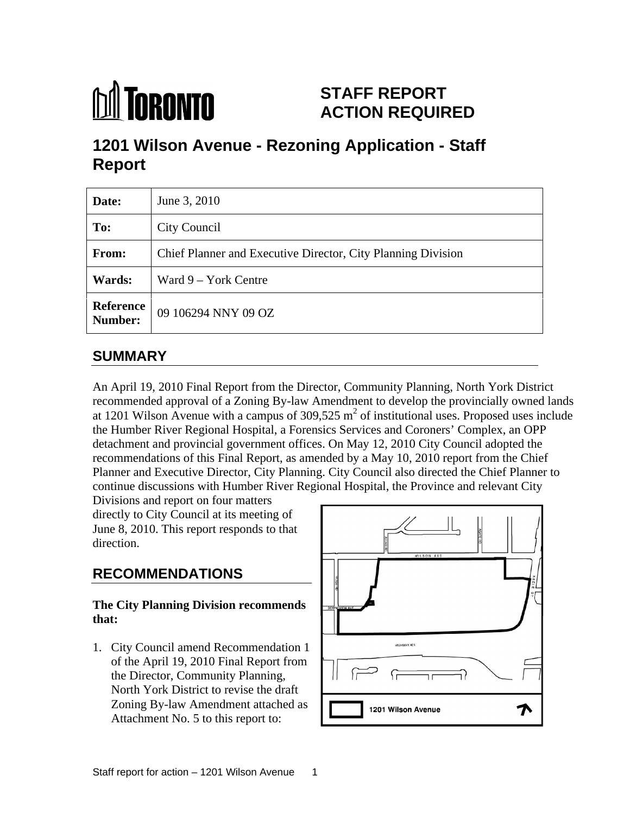

# **STAFF REPORT ACTION REQUIRED**

# **1201 Wilson Avenue - Rezoning Application - Staff Report**

| Date:         | June 3, 2010                                                 |
|---------------|--------------------------------------------------------------|
| To:           | <b>City Council</b>                                          |
| From:         | Chief Planner and Executive Director, City Planning Division |
| <b>Wards:</b> | $\vert$ Ward 9 – York Centre                                 |
|               | <b>Reference</b> 09 106294 NNY 09 OZ                         |

# **SUMMARY**

An April 19, 2010 Final Report from the Director, Community Planning, North York District recommended approval of a Zoning By-law Amendment to develop the provincially owned lands at 1201 Wilson Avenue with a campus of 309,525  $m^2$  of institutional uses. Proposed uses include the Humber River Regional Hospital, a Forensics Services and Coroners' Complex, an OPP detachment and provincial government offices. On May 12, 2010 City Council adopted the recommendations of this Final Report, as amended by a May 10, 2010 report from the Chief Planner and Executive Director, City Planning. City Council also directed the Chief Planner to continue discussions with Humber River Regional Hospital, the Province and relevant City

Divisions and report on four matters directly to City Council at its meeting of June 8, 2010. This report responds to that

# **The City Planning Division recommends**

1. City Council amend Recommendation 1 of the April 19, 2010 Final Report from the Director, Community Planning, North York District to revise the draft Zoning By-law Amendment attached as **Fig. 1201** Vilson Avenue Attachment No. 5 to this report to:

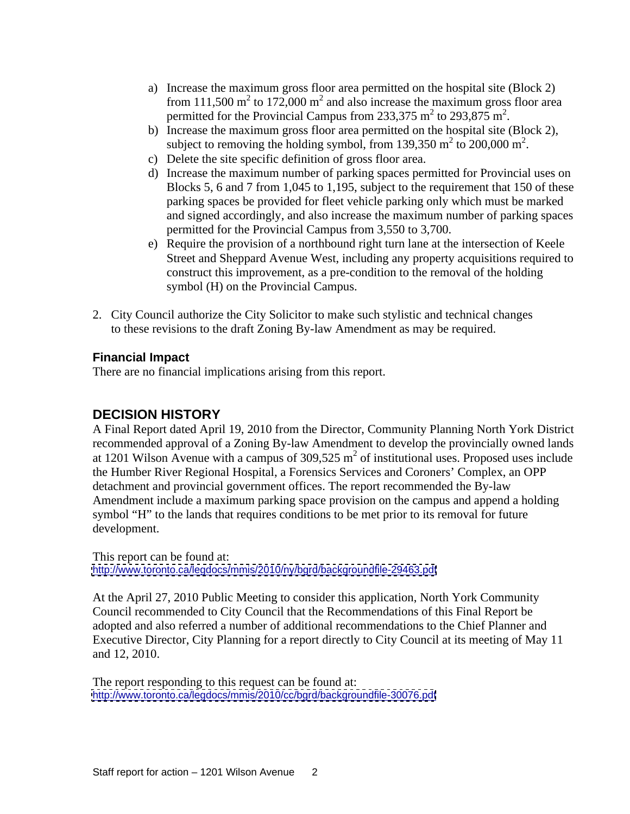- a) Increase the maximum gross floor area permitted on the hospital site (Block 2) from 111,500  $m^2$  to 172,000  $m^2$  and also increase the maximum gross floor area permitted for the Provincial Campus from 233,375 m<sup>2</sup> to 293,875 m<sup>2</sup>. to 293,875 m<sup>2</sup>. .
- b) Increase the maximum gross floor area permitted on the hospital site (Block 2), subject to removing the holding symbol, from 139,350  $m<sup>2</sup>$  to 200,000  $m<sup>2</sup>$ . to  $200,000 \text{ m}^2$ . .
- c) Delete the site specific definition of gross floor area.
- d) Increase the maximum number of parking spaces permitted for Provincial uses on Blocks 5, 6 and 7 from 1,045 to 1,195, subject to the requirement that 150 of these parking spaces be provided for fleet vehicle parking only which must be marked and signed accordingly, and also increase the maximum number of parking spaces permitted for the Provincial Campus from 3,550 to 3,700.
- e) Require the provision of a northbound right turn lane at the intersection of Keele Street and Sheppard Avenue West, including any property acquisitions required to construct this improvement, as a pre-condition to the removal of the holding symbol (H) on the Provincial Campus.
- 2. City Council authorize the City Solicitor to make such stylistic and technical changes to these revisions to the draft Zoning By-law Amendment as may be required.

#### **Financial Impact**

There are no financial implications arising from this report.

### **DECISION HISTORY**

A Final Report dated April 19, 2010 from the Director, Community Planning North York District recommended approval of a Zoning By-law Amendment to develop the provincially owned lands at 1201 Wilson Avenue with a campus of 309,525  $m<sup>2</sup>$  of institutional uses. Proposed uses include the Humber River Regional Hospital, a Forensics Services and Coroners' Complex, an OPP detachment and provincial government offices. The report recommended the By-law Amendment include a maximum parking space provision on the campus and append a holding symbol "H" to the lands that requires conditions to be met prior to its removal for future development.

This report can be found at: <http://www.toronto.ca/legdocs/mmis/2010/ny/bgrd/backgroundfile-29463.pdf>

At the April 27, 2010 Public Meeting to consider this application, North York Community Council recommended to City Council that the Recommendations of this Final Report be adopted and also referred a number of additional recommendations to the Chief Planner and Executive Director, City Planning for a report directly to City Council at its meeting of May 11 and 12, 2010.

The report responding to this request can be found at: <http://www.toronto.ca/legdocs/mmis/2010/cc/bgrd/backgroundfile-30076.pdf>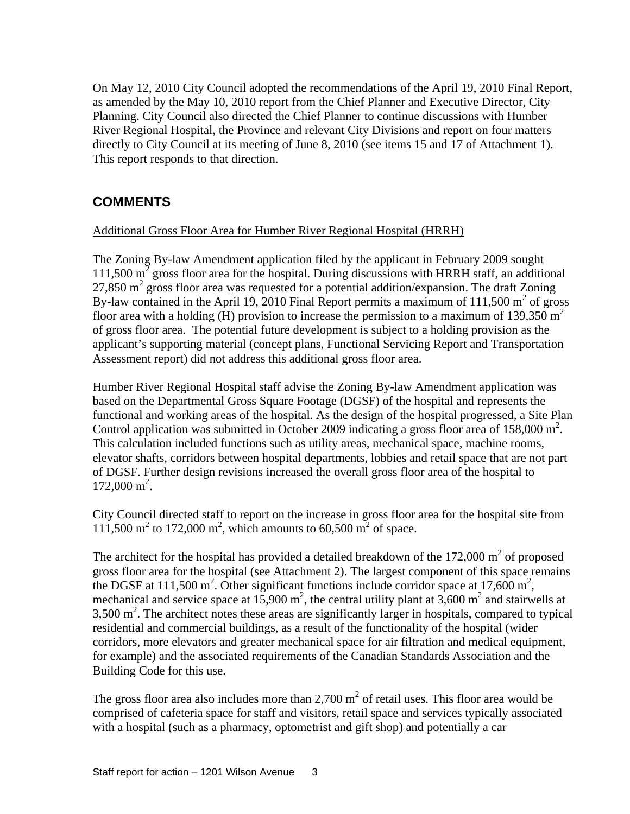On May 12, 2010 City Council adopted the recommendations of the April 19, 2010 Final Report, as amended by the May 10, 2010 report from the Chief Planner and Executive Director, City Planning. City Council also directed the Chief Planner to continue discussions with Humber River Regional Hospital, the Province and relevant City Divisions and report on four matters directly to City Council at its meeting of June 8, 2010 (see items 15 and 17 of Attachment 1). This report responds to that direction.

# **COMMENTS**

#### Additional Gross Floor Area for Humber River Regional Hospital (HRRH)

The Zoning By-law Amendment application filed by the applicant in February 2009 sought  $111,500 \text{ m}^2$  gross floor area for the hospital. During discussions with HRRH staff, an additional 27,850  $m^2$  gross floor area was requested for a potential addition/expansion. The draft Zoning By-law contained in the April 19, 2010 Final Report permits a maximum of 111,500  $m<sup>2</sup>$  of gross of gross floor area with a holding (H) provision to increase the permission to a maximum of 139,350 m<sup>2</sup> of gross floor area. The potential future development is subject to a holding provision as the applicant's supporting material (concept plans, Functional Servicing Report and Transportation Assessment report) did not address this additional gross floor area.

Humber River Regional Hospital staff advise the Zoning By-law Amendment application was based on the Departmental Gross Square Footage (DGSF) of the hospital and represents the functional and working areas of the hospital. As the design of the hospital progressed, a Site Plan Control application was submitted in October 2009 indicating a gross floor area of  $158,000 \text{ m}^2$ .<br>This calculation included functions such as utility areas, mechanical space, machine rooms, elevator shafts, corridors between hospital departments, lobbies and retail space that are not part of DGSF. Further design revisions increased the overall gross floor area of the hospital to  $172,000 \text{ m}^2$ . . A construction of the construction of the construction of the construction of the construction of the constr<br>The construction of the construction of the construction of the construction of the construction of the constr

City Council directed staff to report on the increase in gross floor area for the hospital site from 111,500 m<sup>2</sup> to 172,000 m<sup>2</sup>, which amounts to 60,500 m<sup>2</sup> of space.

111,500 m<sup>2</sup> to 172,000 m<sup>2</sup>, which amounts to 60,500 m<sup>2</sup> of space.<br>The architect for the hospital has provided a detailed breakdown of the 172,000 m<sup>2</sup> of proposed of proposed gross floor area for the hospital (see Attachment 2). The largest component of this space remains the DGSF at 111,500 m<sup>2</sup>. Other significant functions include corridor space at 17,600 m<sup>2</sup>, the DGSF at 111,500 m<sup>2</sup>. Other significant functions include corridor space at 17,600 m<sup>2</sup>,<br>mechanical and service space at 15,900 m<sup>2</sup>, the central utility plant at 3,600 m<sup>2</sup> and stairwells at  $3,500 \text{ m}^2$ . The architect notes these areas are significantly larger in hospitals, compared to typical residential and commercial buildings, as a result of the functionality of the hospital (wider corridors, more elevators and greater mechanical space for air filtration and medical equipment, for example) and the associated requirements of the Canadian Standards Association and the Building Code for this use.

The gross floor area also includes more than 2,700  $m^2$  of retail uses. This floor area would be comprised of cafeteria space for staff and visitors, retail space and services typically associated with a hospital (such as a pharmacy, optometrist and gift shop) and potentially a car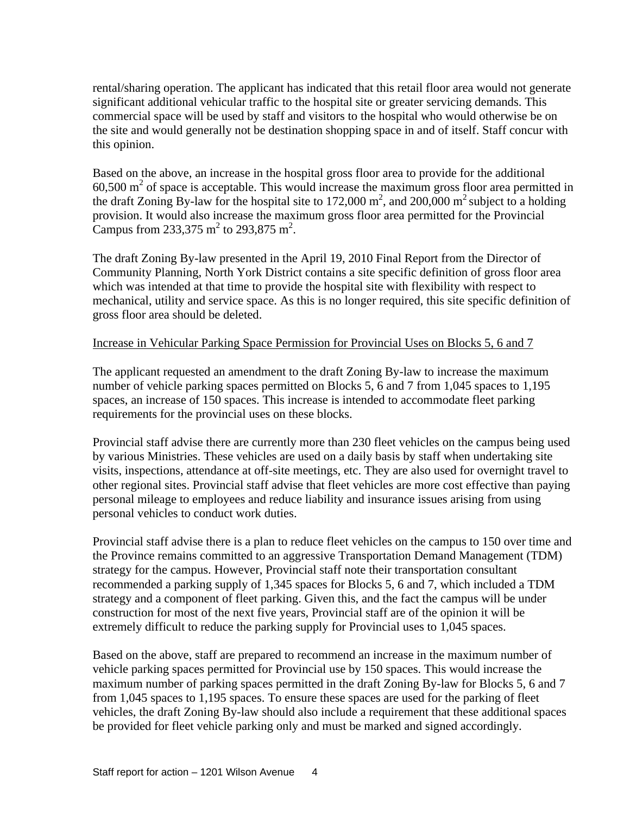rental/sharing operation. The applicant has indicated that this retail floor area would not generate significant additional vehicular traffic to the hospital site or greater servicing demands. This commercial space will be used by staff and visitors to the hospital who would otherwise be on the site and would generally not be destination shopping space in and of itself. Staff concur with this opinion.

Based on the above, an increase in the hospital gross floor area to provide for the additional  $60,500$  m<sup>2</sup> of space is acceptable. This would increase the maximum gross floor area permitted in the draft Zoning By-law for the hospital site to 172,000 m<sup>2</sup>, and 200,000 m<sup>2</sup> subject to a holding provision. It would also increase the maximum gross floor area permitted for the Provincial Campus from 233,375 m<sup>2</sup> to 293,875 m<sup>2</sup>. to 293,875 m<sup>2</sup>. . A construction of the construction of the construction of the construction of the construction of the constr<br>The construction of the construction of the construction of the construction of the construction of the constr

The draft Zoning By-law presented in the April 19, 2010 Final Report from the Director of Community Planning, North York District contains a site specific definition of gross floor area which was intended at that time to provide the hospital site with flexibility with respect to mechanical, utility and service space. As this is no longer required, this site specific definition of gross floor area should be deleted.

#### Increase in Vehicular Parking Space Permission for Provincial Uses on Blocks 5, 6 and 7

The applicant requested an amendment to the draft Zoning By-law to increase the maximum number of vehicle parking spaces permitted on Blocks 5, 6 and 7 from 1,045 spaces to 1,195 spaces, an increase of 150 spaces. This increase is intended to accommodate fleet parking requirements for the provincial uses on these blocks.

Provincial staff advise there are currently more than 230 fleet vehicles on the campus being used by various Ministries. These vehicles are used on a daily basis by staff when undertaking site visits, inspections, attendance at off-site meetings, etc. They are also used for overnight travel to other regional sites. Provincial staff advise that fleet vehicles are more cost effective than paying personal mileage to employees and reduce liability and insurance issues arising from using personal vehicles to conduct work duties.

Provincial staff advise there is a plan to reduce fleet vehicles on the campus to 150 over time and the Province remains committed to an aggressive Transportation Demand Management (TDM) strategy for the campus. However, Provincial staff note their transportation consultant recommended a parking supply of 1,345 spaces for Blocks 5, 6 and 7, which included a TDM strategy and a component of fleet parking. Given this, and the fact the campus will be under construction for most of the next five years, Provincial staff are of the opinion it will be extremely difficult to reduce the parking supply for Provincial uses to 1,045 spaces.

Based on the above, staff are prepared to recommend an increase in the maximum number of vehicle parking spaces permitted for Provincial use by 150 spaces. This would increase the maximum number of parking spaces permitted in the draft Zoning By-law for Blocks 5, 6 and 7 from 1,045 spaces to 1,195 spaces. To ensure these spaces are used for the parking of fleet vehicles, the draft Zoning By-law should also include a requirement that these additional spaces be provided for fleet vehicle parking only and must be marked and signed accordingly.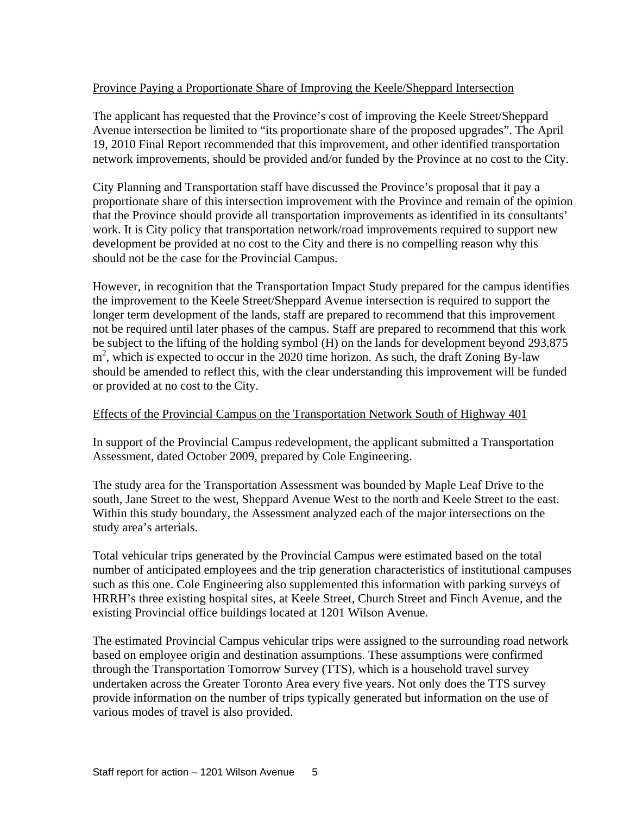#### Province Paying a Proportionate Share of Improving the Keele/Sheppard Intersection

The applicant has requested that the Province's cost of improving the Keele Street/Sheppard Avenue intersection be limited to "its proportionate share of the proposed upgrades". The April 19, 2010 Final Report recommended that this improvement, and other identified transportation network improvements, should be provided and/or funded by the Province at no cost to the City.

City Planning and Transportation staff have discussed the Province's proposal that it pay a proportionate share of this intersection improvement with the Province and remain of the opinion that the Province should provide all transportation improvements as identified in its consultants' work. It is City policy that transportation network/road improvements required to support new development be provided at no cost to the City and there is no compelling reason why this should not be the case for the Provincial Campus.

However, in recognition that the Transportation Impact Study prepared for the campus identifies the improvement to the Keele Street/Sheppard Avenue intersection is required to support the longer term development of the lands, staff are prepared to recommend that this improvement not be required until later phases of the campus. Staff are prepared to recommend that this work be subject to the lifting of the holding symbol (H) on the lands for development beyond 293,875 m<sup>2</sup>, which is expected to occur in the 2020 time horizon. As such, the draft Zoning By-law should be amended to reflect this, with the clear understanding this improvement will be funded or provided at no cost to the City.

#### Effects of the Provincial Campus on the Transportation Network South of Highway 401

In support of the Provincial Campus redevelopment, the applicant submitted a Transportation Assessment, dated October 2009, prepared by Cole Engineering.

The study area for the Transportation Assessment was bounded by Maple Leaf Drive to the south, Jane Street to the west, Sheppard Avenue West to the north and Keele Street to the east. Within this study boundary, the Assessment analyzed each of the major intersections on the study area's arterials.

Total vehicular trips generated by the Provincial Campus were estimated based on the total number of anticipated employees and the trip generation characteristics of institutional campuses such as this one. Cole Engineering also supplemented this information with parking surveys of HRRH's three existing hospital sites, at Keele Street, Church Street and Finch Avenue, and the existing Provincial office buildings located at 1201 Wilson Avenue.

The estimated Provincial Campus vehicular trips were assigned to the surrounding road network based on employee origin and destination assumptions. These assumptions were confirmed through the Transportation Tomorrow Survey (TTS), which is a household travel survey undertaken across the Greater Toronto Area every five years. Not only does the TTS survey provide information on the number of trips typically generated but information on the use of various modes of travel is also provided.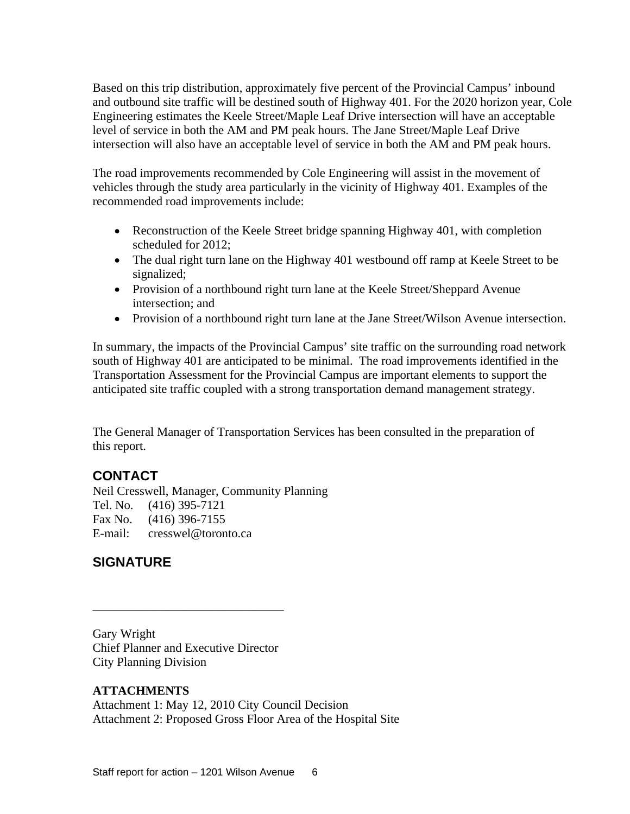Based on this trip distribution, approximately five percent of the Provincial Campus' inbound and outbound site traffic will be destined south of Highway 401. For the 2020 horizon year, Cole Engineering estimates the Keele Street/Maple Leaf Drive intersection will have an acceptable level of service in both the AM and PM peak hours. The Jane Street/Maple Leaf Drive intersection will also have an acceptable level of service in both the AM and PM peak hours.

The road improvements recommended by Cole Engineering will assist in the movement of vehicles through the study area particularly in the vicinity of Highway 401. Examples of the recommended road improvements include:

- Reconstruction of the Keele Street bridge spanning Highway 401, with completion scheduled for 2012;
- The dual right turn lane on the Highway 401 westbound off ramp at Keele Street to be signalized; the contract of the contract of the contract of the contract of the contract of the contract of the contract of the contract of the contract of the contract of the contract of the contract of the contract of th
- Provision of a northbound right turn lane at the Keele Street/Sheppard Avenue intersection; and
- Provision of a northbound right turn lane at the Jane Street/Wilson Avenue intersection.

In summary, the impacts of the Provincial Campus' site traffic on the surrounding road network south of Highway 401 are anticipated to be minimal. The road improvements identified in the Transportation Assessment for the Provincial Campus are important elements to support the anticipated site traffic coupled with a strong transportation demand management strategy.

 $\overline{\phantom{a}}$  , we are the contract of the contract of the contract of the contract of the contract of the contract of the contract of the contract of the contract of the contract of the contract of the contract of the cont

The General Manager of Transportation Services has been consulted in the preparation of this report.

#### **CONTACT**

Neil Cresswell, Manager, Community Planning Tel. No. (416) 395-7121 Fax No. (416) 396-7155 E-mail: cresswel@toronto.ca

# **SIGNATURE**

Gary Wright Chief Planner and Executive Director City Planning Division

#### **ATTACHMENTS**

Attachment 1: May 12, 2010 City Council Decision Attachment 2: Proposed Gross Floor Area of the Hospital Site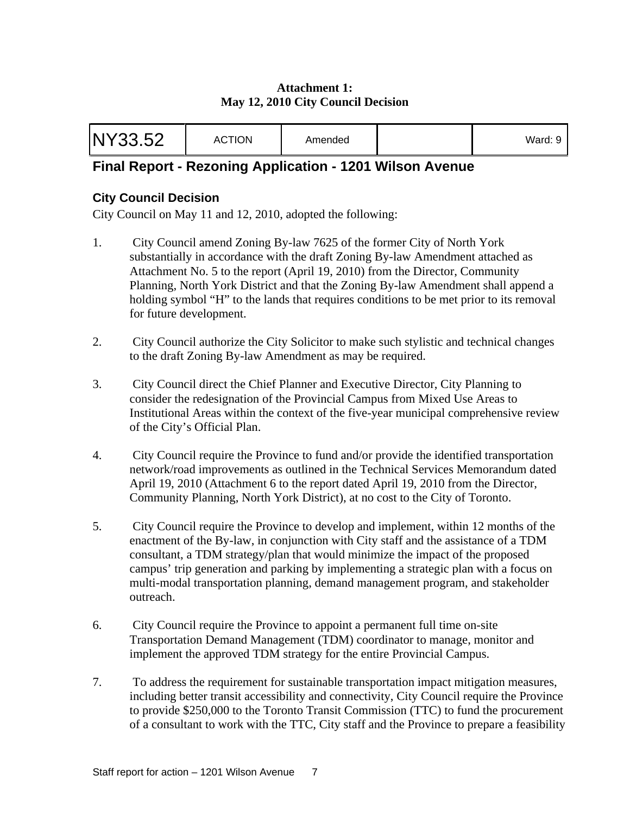#### **Attachment 1: May 12, 2010 City Council Decision**

| NY33.52 | <b>ACTION</b> | Amended |  | . |  |
|---------|---------------|---------|--|---|--|
|---------|---------------|---------|--|---|--|

# **Final Report - Rezoning Application - 1201 Wilson Avenue**

#### **City Council Decision**

City Council on May 11 and 12, 2010, adopted the following:

- 1. City Council amend Zoning By-law 7625 of the former City of North York substantially in accordance with the draft Zoning By-law Amendment attached as Attachment No. 5 to the report (April 19, 2010) from the Director, Community Planning, North York District and that the Zoning By-law Amendment shall append a holding symbol "H" to the lands that requires conditions to be met prior to its removal for future development.
- 2. City Council authorize the City Solicitor to make such stylistic and technical changes to the draft Zoning By-law Amendment as may be required.
- 3. City Council direct the Chief Planner and Executive Director, City Planning to consider the redesignation of the Provincial Campus from Mixed Use Areas to Institutional Areas within the context of the five-year municipal comprehensive review of the City's Official Plan.
- 4. City Council require the Province to fund and/or provide the identified transportation network/road improvements as outlined in the Technical Services Memorandum dated April 19, 2010 (Attachment 6 to the report dated April 19, 2010 from the Director, Community Planning, North York District), at no cost to the City of Toronto.
- 5. City Council require the Province to develop and implement, within 12 months of the enactment of the By-law, in conjunction with City staff and the assistance of a TDM consultant, a TDM strategy/plan that would minimize the impact of the proposed campus' trip generation and parking by implementing a strategic plan with a focus on multi-modal transportation planning, demand management program, and stakeholder outreach.
- 6. City Council require the Province to appoint a permanent full time on-site Transportation Demand Management (TDM) coordinator to manage, monitor and implement the approved TDM strategy for the entire Provincial Campus.
- 7. To address the requirement for sustainable transportation impact mitigation measures, including better transit accessibility and connectivity, City Council require the Province to provide \$250,000 to the Toronto Transit Commission (TTC) to fund the procurement of a consultant to work with the TTC, City staff and the Province to prepare a feasibility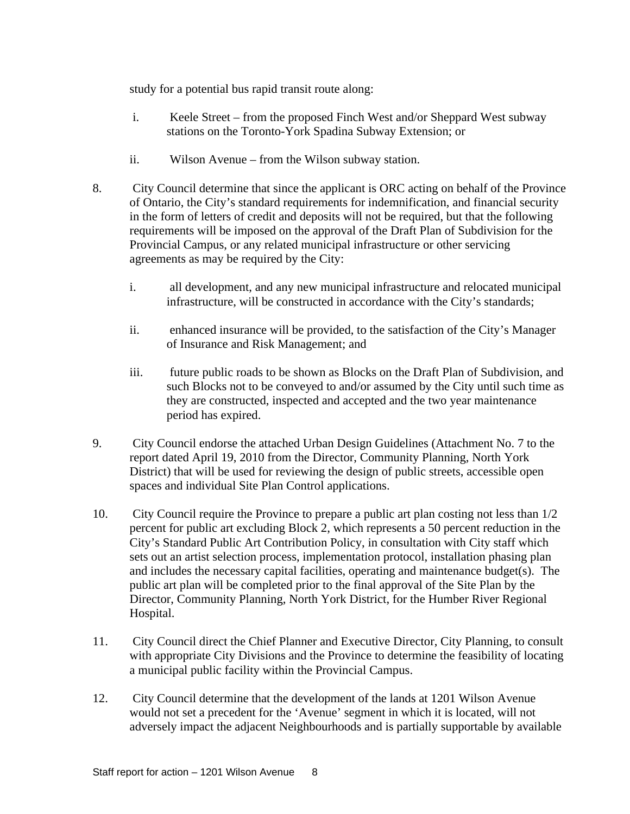study for a potential bus rapid transit route along:

- i. Keele Street from the proposed Finch West and/or Sheppard West subway stations on the Toronto-York Spadina Subway Extension; or
- ii. Wilson Avenue from the Wilson subway station.
- 8. City Council determine that since the applicant is ORC acting on behalf of the Province of Ontario, the City's standard requirements for indemnification, and financial security in the form of letters of credit and deposits will not be required, but that the following requirements will be imposed on the approval of the Draft Plan of Subdivision for the Provincial Campus, or any related municipal infrastructure or other servicing agreements as may be required by the City:
	- i. all development, and any new municipal infrastructure and relocated municipal infrastructure, will be constructed in accordance with the City's standards;
	- ii. enhanced insurance will be provided, to the satisfaction of the City's Manager of Insurance and Risk Management; and
	- iii. future public roads to be shown as Blocks on the Draft Plan of Subdivision, and such Blocks not to be conveyed to and/or assumed by the City until such time as they are constructed, inspected and accepted and the two year maintenance period has expired.
- 9. City Council endorse the attached Urban Design Guidelines (Attachment No. 7 to the report dated April 19, 2010 from the Director, Community Planning, North York District) that will be used for reviewing the design of public streets, accessible open spaces and individual Site Plan Control applications.
- 10. City Council require the Province to prepare a public art plan costing not less than 1/2 percent for public art excluding Block 2, which represents a 50 percent reduction in the City's Standard Public Art Contribution Policy, in consultation with City staff which sets out an artist selection process, implementation protocol, installation phasing plan and includes the necessary capital facilities, operating and maintenance budget(s). The public art plan will be completed prior to the final approval of the Site Plan by the Director, Community Planning, North York District, for the Humber River Regional Hospital.
- 11. City Council direct the Chief Planner and Executive Director, City Planning, to consult with appropriate City Divisions and the Province to determine the feasibility of locating a municipal public facility within the Provincial Campus.
- 12. City Council determine that the development of the lands at 1201 Wilson Avenue would not set a precedent for the 'Avenue' segment in which it is located, will not adversely impact the adjacent Neighbourhoods and is partially supportable by available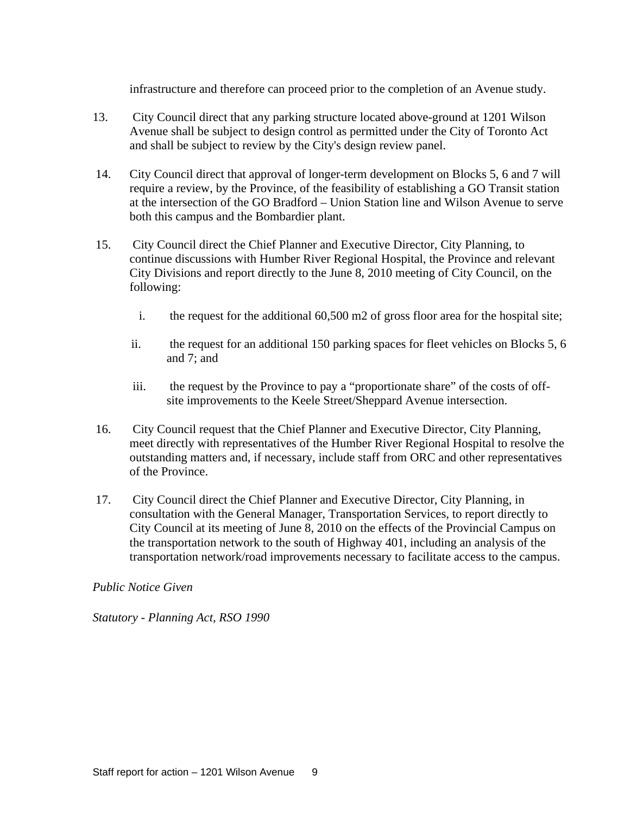infrastructure and therefore can proceed prior to the completion of an Avenue study.

- 13. City Council direct that any parking structure located above-ground at 1201 Wilson Avenue shall be subject to design control as permitted under the City of Toronto Act and shall be subject to review by the City's design review panel.
- 14. City Council direct that approval of longer-term development on Blocks 5, 6 and 7 will require a review, by the Province, of the feasibility of establishing a GO Transit station at the intersection of the GO Bradford – Union Station line and Wilson Avenue to serve both this campus and the Bombardier plant.
- 15. City Council direct the Chief Planner and Executive Director, City Planning, to continue discussions with Humber River Regional Hospital, the Province and relevant City Divisions and report directly to the June 8, 2010 meeting of City Council, on the following:
	- i. the request for the additional 60,500 m2 of gross floor area for the hospital site;
	- ii. the request for an additional 150 parking spaces for fleet vehicles on Blocks 5, 6 and 7; and
	- iii. the request by the Province to pay a "proportionate share" of the costs of off site improvements to the Keele Street/Sheppard Avenue intersection.
- 16. City Council request that the Chief Planner and Executive Director, City Planning, meet directly with representatives of the Humber River Regional Hospital to resolve the outstanding matters and, if necessary, include staff from ORC and other representatives of the Province.
- 17. City Council direct the Chief Planner and Executive Director, City Planning, in consultation with the General Manager, Transportation Services, to report directly to City Council at its meeting of June 8, 2010 on the effects of the Provincial Campus on the transportation network to the south of Highway 401, including an analysis of the transportation network/road improvements necessary to facilitate access to the campus.

#### *Public Notice Given*

*Statutory - Planning Act, RSO 1990*